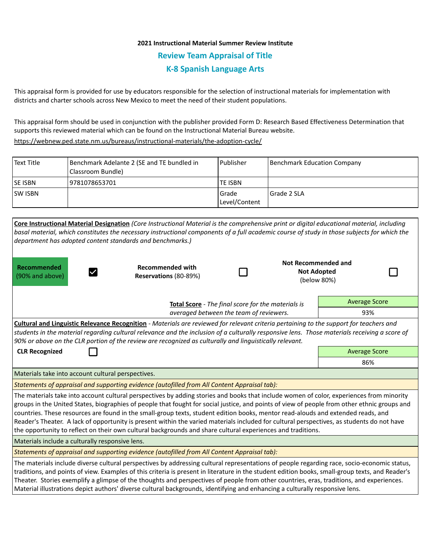# **2021 Instructional Material Summer Review Institute Review Team Appraisal of Title K-8 Spanish Language Arts**

This appraisal form is provided for use by educators responsible for the selection of instructional materials for implementation with districts and charter schools across New Mexico to meet the need of their student populations.

This appraisal form should be used in conjunction with the publisher provided Form D: Research Based Effectiveness Determination that supports this reviewed material which can be found on the Instructional Material Bureau website.

<https://webnew.ped.state.nm.us/bureaus/instructional-materials/the-adoption-cycle/>

| Text Title     | Benchmark Adelante 2 (SE and TE bundled in<br> Classroom Bundle) | l Publisher              | Benchmark Education Company |
|----------------|------------------------------------------------------------------|--------------------------|-----------------------------|
| <b>SE ISBN</b> | 19781078653701                                                   | <b>TE ISBN</b>           |                             |
| <b>SW ISBN</b> |                                                                  | l Grade<br>Level/Content | Grade 2 SLA                 |

| department has adopted content standards and benchmarks.)                                                                                                                                                                                                                                                                                                                                                                                                                                                                                                                                                                                                                                 | Core Instructional Material Designation (Core Instructional Material is the comprehensive print or digital educational material, including<br>basal material, which constitutes the necessary instructional components of a full academic course of study in those subjects for which the                                                                                                                                                                                                                                                                                   |  |                                                          |                      |  |  |  |  |
|-------------------------------------------------------------------------------------------------------------------------------------------------------------------------------------------------------------------------------------------------------------------------------------------------------------------------------------------------------------------------------------------------------------------------------------------------------------------------------------------------------------------------------------------------------------------------------------------------------------------------------------------------------------------------------------------|-----------------------------------------------------------------------------------------------------------------------------------------------------------------------------------------------------------------------------------------------------------------------------------------------------------------------------------------------------------------------------------------------------------------------------------------------------------------------------------------------------------------------------------------------------------------------------|--|----------------------------------------------------------|----------------------|--|--|--|--|
| Recommended<br>(90% and above)                                                                                                                                                                                                                                                                                                                                                                                                                                                                                                                                                                                                                                                            | <b>Recommended with</b><br>Reservations (80-89%)                                                                                                                                                                                                                                                                                                                                                                                                                                                                                                                            |  | Not Recommended and<br><b>Not Adopted</b><br>(below 80%) |                      |  |  |  |  |
| Total Score - The final score for the materials is                                                                                                                                                                                                                                                                                                                                                                                                                                                                                                                                                                                                                                        |                                                                                                                                                                                                                                                                                                                                                                                                                                                                                                                                                                             |  |                                                          | <b>Average Score</b> |  |  |  |  |
| averaged between the team of reviewers.                                                                                                                                                                                                                                                                                                                                                                                                                                                                                                                                                                                                                                                   |                                                                                                                                                                                                                                                                                                                                                                                                                                                                                                                                                                             |  |                                                          | 93%                  |  |  |  |  |
| Cultural and Linguistic Relevance Recognition - Materials are reviewed for relevant criteria pertaining to the support for teachers and<br>students in the material regarding cultural relevance and the inclusion of a culturally responsive lens. Those materials receiving a score of<br>90% or above on the CLR portion of the review are recognized as culturally and linguistically relevant.                                                                                                                                                                                                                                                                                       |                                                                                                                                                                                                                                                                                                                                                                                                                                                                                                                                                                             |  |                                                          |                      |  |  |  |  |
| <b>CLR Recognized</b>                                                                                                                                                                                                                                                                                                                                                                                                                                                                                                                                                                                                                                                                     | <b>Average Score</b>                                                                                                                                                                                                                                                                                                                                                                                                                                                                                                                                                        |  |                                                          |                      |  |  |  |  |
|                                                                                                                                                                                                                                                                                                                                                                                                                                                                                                                                                                                                                                                                                           | 86%                                                                                                                                                                                                                                                                                                                                                                                                                                                                                                                                                                         |  |                                                          |                      |  |  |  |  |
| Materials take into account cultural perspectives.                                                                                                                                                                                                                                                                                                                                                                                                                                                                                                                                                                                                                                        |                                                                                                                                                                                                                                                                                                                                                                                                                                                                                                                                                                             |  |                                                          |                      |  |  |  |  |
| Statements of appraisal and supporting evidence (autofilled from All Content Appraisal tab):                                                                                                                                                                                                                                                                                                                                                                                                                                                                                                                                                                                              |                                                                                                                                                                                                                                                                                                                                                                                                                                                                                                                                                                             |  |                                                          |                      |  |  |  |  |
| The materials take into account cultural perspectives by adding stories and books that include women of color, experiences from minority<br>groups in the United States, biographies of people that fought for social justice, and points of view of people from other ethnic groups and<br>countries. These resources are found in the small-group texts, student edition books, mentor read-alouds and extended reads, and<br>Reader's Theater. A lack of opportunity is present within the varied materials included for cultural perspectives, as students do not have<br>the opportunity to reflect on their own cultural backgrounds and share cultural experiences and traditions. |                                                                                                                                                                                                                                                                                                                                                                                                                                                                                                                                                                             |  |                                                          |                      |  |  |  |  |
| Materials include a culturally responsive lens.                                                                                                                                                                                                                                                                                                                                                                                                                                                                                                                                                                                                                                           |                                                                                                                                                                                                                                                                                                                                                                                                                                                                                                                                                                             |  |                                                          |                      |  |  |  |  |
|                                                                                                                                                                                                                                                                                                                                                                                                                                                                                                                                                                                                                                                                                           | Statements of appraisal and supporting evidence (autofilled from All Content Appraisal tab):                                                                                                                                                                                                                                                                                                                                                                                                                                                                                |  |                                                          |                      |  |  |  |  |
|                                                                                                                                                                                                                                                                                                                                                                                                                                                                                                                                                                                                                                                                                           | The materials include diverse cultural perspectives by addressing cultural representations of people regarding race, socio-economic status,<br>traditions, and points of view. Examples of this criteria is present in literature in the student edition books, small-group texts, and Reader's<br>Theater. Stories exemplify a glimpse of the thoughts and perspectives of people from other countries, eras, traditions, and experiences.<br>Material illustrations depict authors' diverse cultural backgrounds, identifying and enhancing a culturally responsive lens. |  |                                                          |                      |  |  |  |  |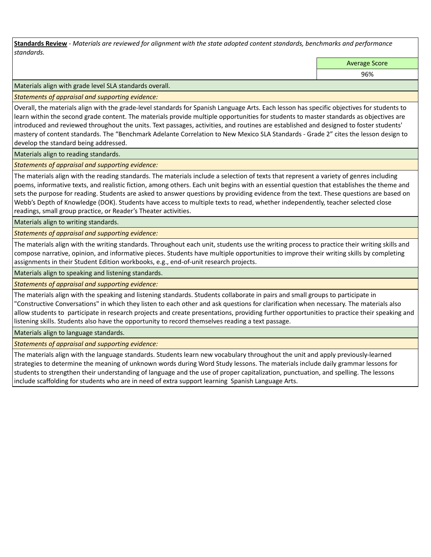**Standards Review** *- Materials are reviewed for alignment with the state adopted content standards, benchmarks and performance standards.*

Average Score

96%

Materials align with grade level SLA standards overall.

*Statements of appraisal and supporting evidence:* 

Overall, the materials align with the grade-level standards for Spanish Language Arts. Each lesson has specific objectives for students to learn within the second grade content. The materials provide multiple opportunities for students to master standards as objectives are introduced and reviewed throughout the units. Text passages, activities, and routines are established and designed to foster students' mastery of content standards. The "Benchmark Adelante Correlation to New Mexico SLA Standards - Grade 2" cites the lesson design to develop the standard being addressed.

Materials align to reading standards.

*Statements of appraisal and supporting evidence:* 

The materials align with the reading standards. The materials include a selection of texts that represent a variety of genres including poems, informative texts, and realistic fiction, among others. Each unit begins with an essential question that establishes the theme and sets the purpose for reading. Students are asked to answer questions by providing evidence from the text. These questions are based on Webb's Depth of Knowledge (DOK). Students have access to multiple texts to read, whether independently, teacher selected close readings, small group practice, or Reader's Theater activities.

Materials align to writing standards.

*Statements of appraisal and supporting evidence:* 

The materials align with the writing standards. Throughout each unit, students use the writing process to practice their writing skills and compose narrative, opinion, and informative pieces. Students have multiple opportunities to improve their writing skills by completing assignments in their Student Edition workbooks, e.g., end-of-unit research projects.

Materials align to speaking and listening standards.

*Statements of appraisal and supporting evidence:* 

The materials align with the speaking and listening standards. Students collaborate in pairs and small groups to participate in "Constructive Conversations" in which they listen to each other and ask questions for clarification when necessary. The materials also allow students to participate in research projects and create presentations, providing further opportunities to practice their speaking and listening skills. Students also have the opportunity to record themselves reading a text passage.

Materials align to language standards.

*Statements of appraisal and supporting evidence:* 

The materials align with the language standards. Students learn new vocabulary throughout the unit and apply previously-learned strategies to determine the meaning of unknown words during Word Study lessons. The materials include daily grammar lessons for students to strengthen their understanding of language and the use of proper capitalization, punctuation, and spelling. The lessons include scaffolding for students who are in need of extra support learning Spanish Language Arts.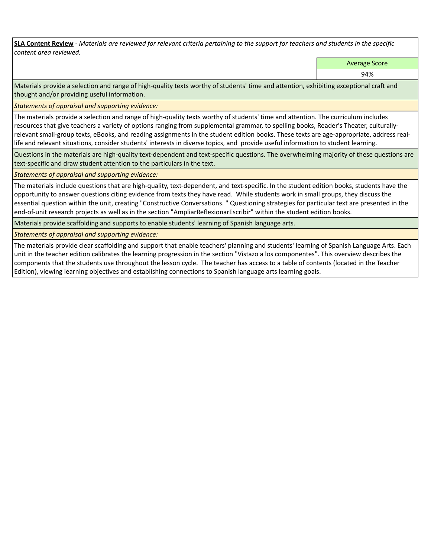**SLA Content Review** *- Materials are reviewed for relevant criteria pertaining to the support for teachers and students in the specific content area reviewed.*

Average Score

94%

Materials provide a selection and range of high-quality texts worthy of students' time and attention, exhibiting exceptional craft and thought and/or providing useful information.

*Statements of appraisal and supporting evidence:* 

The materials provide a selection and range of high-quality texts worthy of students' time and attention. The curriculum includes resources that give teachers a variety of options ranging from supplemental grammar, to spelling books, Reader's Theater, culturallyrelevant small-group texts, eBooks, and reading assignments in the student edition books. These texts are age-appropriate, address reallife and relevant situations, consider students' interests in diverse topics, and provide useful information to student learning.

Questions in the materials are high-quality text-dependent and text-specific questions. The overwhelming majority of these questions are text-specific and draw student attention to the particulars in the text.

*Statements of appraisal and supporting evidence:* 

The materials include questions that are high-quality, text-dependent, and text-specific. In the student edition books, students have the opportunity to answer questions citing evidence from texts they have read. While students work in small groups, they discuss the essential question within the unit, creating "Constructive Conversations. " Questioning strategies for particular text are presented in the end-of-unit research projects as well as in the section "AmpliarReflexionarEscribir" within the student edition books.

Materials provide scaffolding and supports to enable students' learning of Spanish language arts.

*Statements of appraisal and supporting evidence:* 

The materials provide clear scaffolding and support that enable teachers' planning and students' learning of Spanish Language Arts. Each unit in the teacher edition calibrates the learning progression in the section "Vistazo a los componentes". This overview describes the components that the students use throughout the lesson cycle. The teacher has access to a table of contents (located in the Teacher Edition), viewing learning objectives and establishing connections to Spanish language arts learning goals.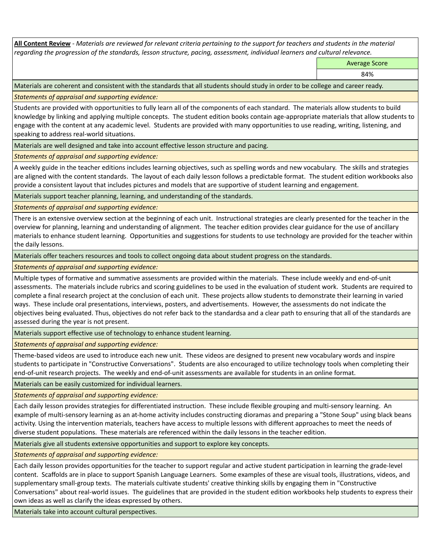**All Content Review** *- Materials are reviewed for relevant criteria pertaining to the support for teachers and students in the material regarding the progression of the standards, lesson structure, pacing, assessment, individual learners and cultural relevance.*

Average Score

84%

Materials are coherent and consistent with the standards that all students should study in order to be college and career ready.

*Statements of appraisal and supporting evidence:*

Students are provided with opportunities to fully learn all of the components of each standard. The materials allow students to build knowledge by linking and applying multiple concepts. The student edition books contain age-appropriate materials that allow students to engage with the content at any academic level. Students are provided with many opportunities to use reading, writing, listening, and speaking to address real-world situations.

Materials are well designed and take into account effective lesson structure and pacing.

*Statements of appraisal and supporting evidence:*

A weekly guide in the teacher editions includes learning objectives, such as spelling words and new vocabulary. The skills and strategies are aligned with the content standards. The layout of each daily lesson follows a predictable format. The student edition workbooks also provide a consistent layout that includes pictures and models that are supportive of student learning and engagement.

Materials support teacher planning, learning, and understanding of the standards.

*Statements of appraisal and supporting evidence:*

There is an extensive overview section at the beginning of each unit. Instructional strategies are clearly presented for the teacher in the overview for planning, learning and understanding of alignment. The teacher edition provides clear guidance for the use of ancillary materials to enhance student learning. Opportunities and suggestions for students to use technology are provided for the teacher within the daily lessons.

Materials offer teachers resources and tools to collect ongoing data about student progress on the standards.

*Statements of appraisal and supporting evidence:*

Multiple types of formative and summative assessments are provided within the materials. These include weekly and end-of-unit assessments. The materials include rubrics and scoring guidelines to be used in the evaluation of student work. Students are required to complete a final research project at the conclusion of each unit. These projects allow students to demonstrate their learning in varied ways. These include oral presentations, interviews, posters, and advertisements. However, the assessments do not indicate the objectives being evaluated. Thus, objectives do not refer back to the standardsa and a clear path to ensuring that all of the standards are assessed during the year is not present.

Materials support effective use of technology to enhance student learning.

*Statements of appraisal and supporting evidence:*

Theme-based videos are used to introduce each new unit. These videos are designed to present new vocabulary words and inspire students to participate in "Constructive Conversations". Students are also encouraged to utilize technology tools when completing their end-of-unit research projects. The weekly and end-of-unit assessments are available for students in an online format.

Materials can be easily customized for individual learners.

*Statements of appraisal and supporting evidence:* 

Each daily lesson provides strategies for differentiated instruction. These include flexible grouping and multi-sensory learning. An example of multi-sensory learning as an at-home activity includes constructing dioramas and preparing a "Stone Soup" using black beans activity. Using the intervention materials, teachers have access to multiple lessons with different approaches to meet the needs of diverse student populations. These materials are referenced within the daily lessons in the teacher edition.

Materials give all students extensive opportunities and support to explore key concepts.

*Statements of appraisal and supporting evidence:*

Each daily lesson provides opportunities for the teacher to support regular and active student participation in learning the grade-level content. Scaffolds are in place to support Spanish Language Learners. Some examples of these are visual tools, illustrations, videos, and supplementary small-group texts. The materials cultivate students' creative thinking skills by engaging them in "Constructive Conversations" about real-world issues. The guidelines that are provided in the student edition workbooks help students to express their own ideas as well as clarify the ideas expressed by others.

Materials take into account cultural perspectives.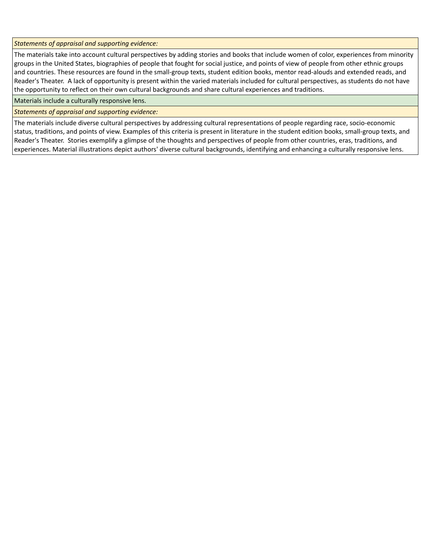*Statements of appraisal and supporting evidence:*

The materials take into account cultural perspectives by adding stories and books that include women of color, experiences from minority groups in the United States, biographies of people that fought for social justice, and points of view of people from other ethnic groups and countries. These resources are found in the small-group texts, student edition books, mentor read-alouds and extended reads, and Reader's Theater. A lack of opportunity is present within the varied materials included for cultural perspectives, as students do not have the opportunity to reflect on their own cultural backgrounds and share cultural experiences and traditions.

Materials include a culturally responsive lens.

*Statements of appraisal and supporting evidence:*

The materials include diverse cultural perspectives by addressing cultural representations of people regarding race, socio-economic status, traditions, and points of view. Examples of this criteria is present in literature in the student edition books, small-group texts, and Reader's Theater. Stories exemplify a glimpse of the thoughts and perspectives of people from other countries, eras, traditions, and experiences. Material illustrations depict authors' diverse cultural backgrounds, identifying and enhancing a culturally responsive lens.